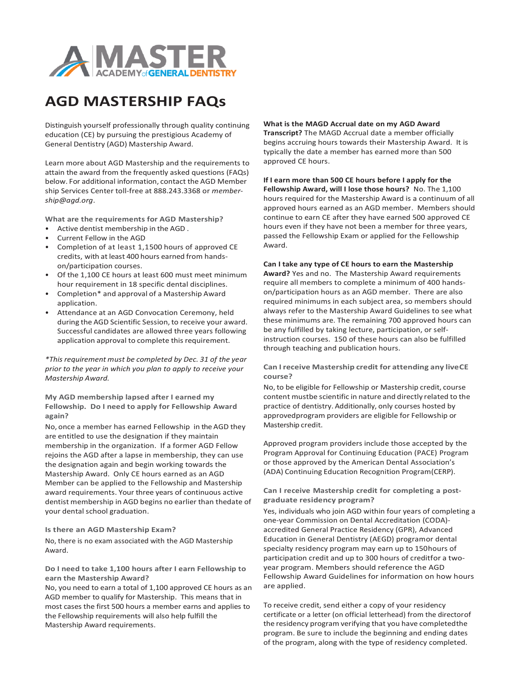

## **AGD MASTERSHIP FAQs**

Distinguish yourself professionally through quality continuing education (CE) by pursuing the prestigious Academy of General Dentistry (AGD) Mastership Award.

Learn more about AGD Mastership and the requirements to attain the award from the frequently asked questions (FAQs) below. For additional information, contact the AGD Member ship Services Center toll-free at 888.243.3368 or *member[ship@agd.org](mailto:ship@agd.org)*.

**What are the requirements for AGD Mastership?**

- Active dentist membership in the AGD .
- Current Fellow in the AGD
- Completion of at least 1,1500 hours of approved CE credits, with at least 400 hours earned from handson/participation courses.
- Of the 1,100 CE hours at least 600 must meet minimum hour requirement in 18 specific dental disciplines.
- Completion\* and approval of a Mastership Award application.
- Attendance at an AGD Convocation Ceremony, held during the AGD Scientific Session, to receive your award. Successful candidates are allowed three years following application approval to complete this requirement.

*\*This requirement must be completed by Dec. 31 of the year prior to the year in which you plan to apply to receive your Mastership Award.*

**My AGD membership lapsed after I earned my Fellowship. Do I need to apply for Fellowship Award again?** 

No, once a member has earned Fellowship in the AGD they are entitled to use the designation if they maintain membership in the organization. If a former AGD Fellow rejoins the AGD after a lapse in membership, they can use the designation again and begin working towards the Mastership Award. Only CE hours earned as an AGD Member can be applied to the Fellowship and Mastership award requirements. Your three years of continuous active dentist membership in AGD begins no earlier than thedate of your dental school graduation.

**Is there an AGD Mastership Exam?**

No, there is no exam associated with the AGD Mastership Award.

**Do I need to take 1,100 hours after I earn Fellowship to earn the Mastership Award?**

No, you need to earn a total of 1,100 approved CE hours as an AGD member to qualify for Mastership. This means that in most cases the first 500 hours a member earns and applies to the Fellowship requirements will also help fulfill the Mastership Award requirements.

## **What is the MAGD Accrual date on my AGD Award Transcript?** The MAGD Accrual date a member officially begins accruing hours towards their Mastership Award. It is typically the date a member has earned more than 500

approved CE hours.

**If I earn more than 500 CE hours before I apply for the Fellowship Award, will I lose those hours?** No. The 1,100 hours required for the Mastership Award is a continuum of all approved hours earned as an AGD member. Members should continue to earn CE after they have earned 500 approved CE hours even if they have not been a member for three years, passed the Fellowship Exam or applied for the Fellowship Award.

**Can I take any type of CE hours to earn the Mastership Award?** Yes and no. The Mastership Award requirements require all members to complete a minimum of 400 handson/participation hours as an AGD member. There are also required minimums in each subject area, so members should always refer to the Mastership Award Guidelines to see what these minimums are. The remaining 700 approved hours can

be any fulfilled by taking lecture, participation, or selfinstruction courses. 150 of these hours can also be fulfilled through teaching and publication hours.

**Can Ireceive Mastership credit for attending any liveCE course?**

No,to be eligible for Fellowship or Mastership credit, course content mustbe scientific in nature and directly related to the practice of dentistry. Additionally, only courses hosted by approvedprogram providers are eligible for Fellowship or Mastership credit.

Approved program providers include those accepted by the Program Approval for Continuing Education (PACE) Program or those approved by the American Dental Association's (ADA) Continuing Education Recognition Program(CERP).

**Can I receive Mastership credit for completing a postgraduate residency program?**

Yes, individuals who join AGD within four years of completing a one-year Commission on Dental Accreditation (CODA) accredited General Practice Residency (GPR), Advanced Education in General Dentistry (AEGD) programor dental specialty residency program may earn up to 150hours of participation credit and up to 300 hours of creditfor a twoyear program. Members should reference the AGD Fellowship Award Guidelines for information on how hours are applied.

To receive credit, send either a copy of your residency certificate or a letter (on official letterhead) from the directorof the residency program verifying that you have completedthe program. Be sure to include the beginning and ending dates of the program, along with the type of residency completed.